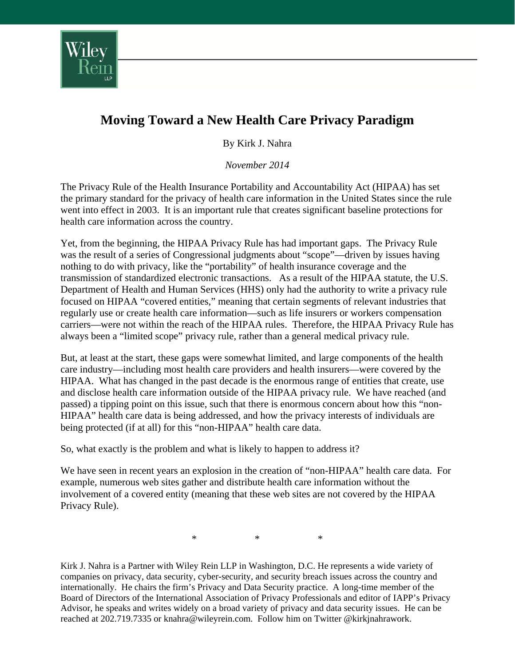

## **Moving Toward a New Health Care Privacy Paradigm**

By Kirk J. Nahra

*November 2014* 

The Privacy Rule of the Health Insurance Portability and Accountability Act (HIPAA) has set the primary standard for the privacy of health care information in the United States since the rule went into effect in 2003. It is an important rule that creates significant baseline protections for health care information across the country.

Yet, from the beginning, the HIPAA Privacy Rule has had important gaps. The Privacy Rule was the result of a series of Congressional judgments about "scope"—driven by issues having nothing to do with privacy, like the "portability" of health insurance coverage and the transmission of standardized electronic transactions. As a result of the HIPAA statute, the U.S. Department of Health and Human Services (HHS) only had the authority to write a privacy rule focused on HIPAA "covered entities," meaning that certain segments of relevant industries that regularly use or create health care information—such as life insurers or workers compensation carriers—were not within the reach of the HIPAA rules. Therefore, the HIPAA Privacy Rule has always been a "limited scope" privacy rule, rather than a general medical privacy rule.

But, at least at the start, these gaps were somewhat limited, and large components of the health care industry—including most health care providers and health insurers—were covered by the HIPAA. What has changed in the past decade is the enormous range of entities that create, use and disclose health care information outside of the HIPAA privacy rule. We have reached (and passed) a tipping point on this issue, such that there is enormous concern about how this "non-HIPAA" health care data is being addressed, and how the privacy interests of individuals are being protected (if at all) for this "non-HIPAA" health care data.

So, what exactly is the problem and what is likely to happen to address it?

We have seen in recent years an explosion in the creation of "non-HIPAA" health care data. For example, numerous web sites gather and distribute health care information without the involvement of a covered entity (meaning that these web sites are not covered by the HIPAA Privacy Rule).

 $*$   $*$   $*$ 

Kirk J. Nahra is a Partner with Wiley Rein LLP in Washington, D.C. He represents a wide variety of companies on privacy, data security, cyber-security, and security breach issues across the country and internationally. He chairs the firm's Privacy and Data Security practice. A long-time member of the Board of Directors of the International Association of Privacy Professionals and editor of IAPP's Privacy Advisor, he speaks and writes widely on a broad variety of privacy and data security issues. He can be reached at 202.719.7335 or knahra@wileyrein.com. Follow him on Twitter @kirkjnahrawork.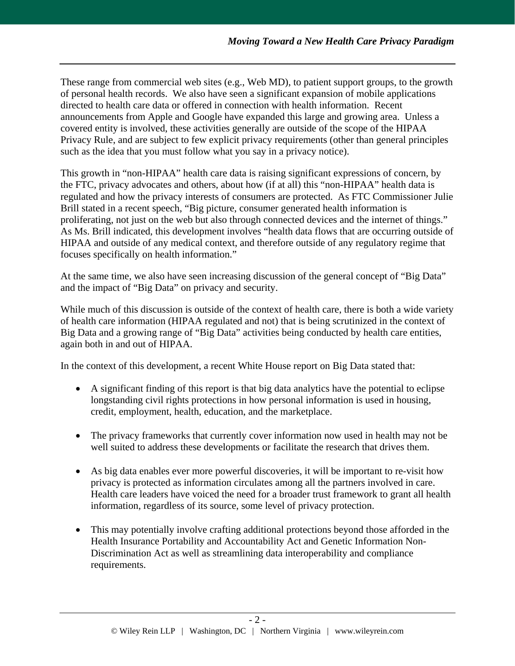These range from commercial web sites (e.g., Web MD), to patient support groups, to the growth of personal health records. We also have seen a significant expansion of mobile applications directed to health care data or offered in connection with health information. Recent announcements from Apple and Google have expanded this large and growing area. Unless a covered entity is involved, these activities generally are outside of the scope of the HIPAA Privacy Rule, and are subject to few explicit privacy requirements (other than general principles such as the idea that you must follow what you say in a privacy notice).

This growth in "non-HIPAA" health care data is raising significant expressions of concern, by the FTC, privacy advocates and others, about how (if at all) this "non-HIPAA" health data is regulated and how the privacy interests of consumers are protected. As FTC Commissioner Julie Brill stated in a recent speech, "Big picture, consumer generated health information is proliferating, not just on the web but also through connected devices and the internet of things." As Ms. Brill indicated, this development involves "health data flows that are occurring outside of HIPAA and outside of any medical context, and therefore outside of any regulatory regime that focuses specifically on health information."

At the same time, we also have seen increasing discussion of the general concept of "Big Data" and the impact of "Big Data" on privacy and security.

While much of this discussion is outside of the context of health care, there is both a wide variety of health care information (HIPAA regulated and not) that is being scrutinized in the context of Big Data and a growing range of "Big Data" activities being conducted by health care entities, again both in and out of HIPAA.

In the context of this development, a recent White House report on Big Data stated that:

- A significant finding of this report is that big data analytics have the potential to eclipse longstanding civil rights protections in how personal information is used in housing, credit, employment, health, education, and the marketplace.
- The privacy frameworks that currently cover information now used in health may not be well suited to address these developments or facilitate the research that drives them.
- As big data enables ever more powerful discoveries, it will be important to re-visit how privacy is protected as information circulates among all the partners involved in care. Health care leaders have voiced the need for a broader trust framework to grant all health information, regardless of its source, some level of privacy protection.
- This may potentially involve crafting additional protections beyond those afforded in the Health Insurance Portability and Accountability Act and Genetic Information Non-Discrimination Act as well as streamlining data interoperability and compliance requirements.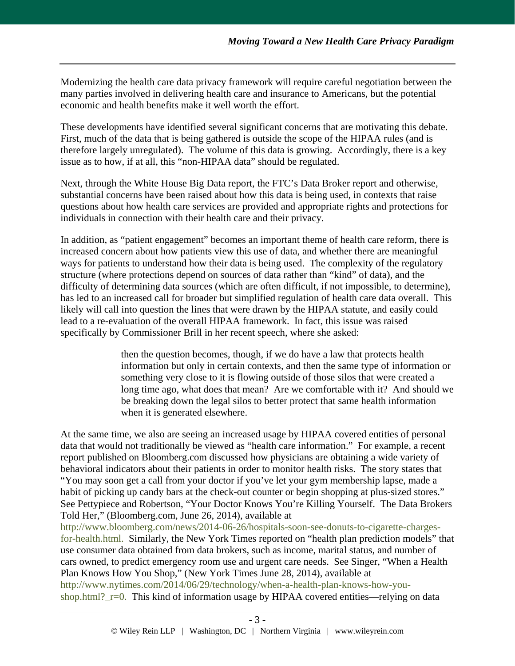Modernizing the health care data privacy framework will require careful negotiation between the many parties involved in delivering health care and insurance to Americans, but the potential economic and health benefits make it well worth the effort.

These developments have identified several significant concerns that are motivating this debate. First, much of the data that is being gathered is outside the scope of the HIPAA rules (and is therefore largely unregulated). The volume of this data is growing. Accordingly, there is a key issue as to how, if at all, this "non-HIPAA data" should be regulated.

Next, through the White House Big Data report, the FTC's Data Broker report and otherwise, substantial concerns have been raised about how this data is being used, in contexts that raise questions about how health care services are provided and appropriate rights and protections for individuals in connection with their health care and their privacy.

In addition, as "patient engagement" becomes an important theme of health care reform, there is increased concern about how patients view this use of data, and whether there are meaningful ways for patients to understand how their data is being used. The complexity of the regulatory structure (where protections depend on sources of data rather than "kind" of data), and the difficulty of determining data sources (which are often difficult, if not impossible, to determine), has led to an increased call for broader but simplified regulation of health care data overall. This likely will call into question the lines that were drawn by the HIPAA statute, and easily could lead to a re-evaluation of the overall HIPAA framework. In fact, this issue was raised specifically by Commissioner Brill in her recent speech, where she asked:

> then the question becomes, though, if we do have a law that protects health information but only in certain contexts, and then the same type of information or something very close to it is flowing outside of those silos that were created a long time ago, what does that mean? Are we comfortable with it? And should we be breaking down the legal silos to better protect that same health information when it is generated elsewhere.

At the same time, we also are seeing an increased usage by HIPAA covered entities of personal data that would not traditionally be viewed as "health care information." For example, a recent report published on Bloomberg.com discussed how physicians are obtaining a wide variety of behavioral indicators about their patients in order to monitor health risks. The story states that "You may soon get a call from your doctor if you've let your gym membership lapse, made a habit of picking up candy bars at the check-out counter or begin shopping at plus-sized stores." See Pettypiece and Robertson, "Your Doctor Knows You're Killing Yourself. The Data Brokers Told Her," (Bloomberg.com, June 26, 2014), available at

[http://www.bloomberg.com/news/2014-06-26/hospitals-soon-see-donuts-to-cigarette-charges](http://www.bloomberg.com/news/2014-06-26/hospitals-soon-see-donuts-to-cigarette-charges-for-health.html)for-health.html. Similarly, the New York Times reported on "health plan prediction models" that use consumer data obtained from data brokers, such as income, marital status, and number of cars owned, to predict emergency room use and urgent care needs. See Singer, "When a Health Plan Knows How You Shop," (New York Times June 28, 2014), available at [http://www.nytimes.com/2014/06/29/technology/when-a-health-plan-knows-how-you](http://www.nytimes.com/2014/06/29/technology/when-a-health-plan-knows-how-you-shop.html?_r=0)shop.html?\_r=0. This kind of information usage by HIPAA covered entities—relying on data

- 3 -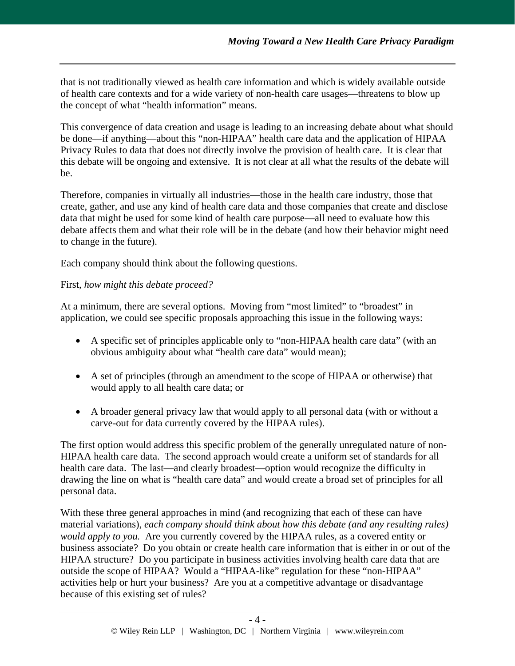that is not traditionally viewed as health care information and which is widely available outside of health care contexts and for a wide variety of non-health care usages—threatens to blow up the concept of what "health information" means.

This convergence of data creation and usage is leading to an increasing debate about what should be done—if anything—about this "non-HIPAA" health care data and the application of HIPAA Privacy Rules to data that does not directly involve the provision of health care. It is clear that this debate will be ongoing and extensive. It is not clear at all what the results of the debate will be.

Therefore, companies in virtually all industries—those in the health care industry, those that create, gather, and use any kind of health care data and those companies that create and disclose data that might be used for some kind of health care purpose—all need to evaluate how this debate affects them and what their role will be in the debate (and how their behavior might need to change in the future).

Each company should think about the following questions.

## First, *how might this debate proceed?*

At a minimum, there are several options. Moving from "most limited" to "broadest" in application, we could see specific proposals approaching this issue in the following ways:

- A specific set of principles applicable only to "non-HIPAA health care data" (with an obvious ambiguity about what "health care data" would mean);
- A set of principles (through an amendment to the scope of HIPAA or otherwise) that would apply to all health care data; or
- A broader general privacy law that would apply to all personal data (with or without a carve-out for data currently covered by the HIPAA rules).

The first option would address this specific problem of the generally unregulated nature of non-HIPAA health care data. The second approach would create a uniform set of standards for all health care data. The last—and clearly broadest—option would recognize the difficulty in drawing the line on what is "health care data" and would create a broad set of principles for all personal data.

With these three general approaches in mind (and recognizing that each of these can have material variations), *each company should think about how this debate (and any resulting rules) would apply to you.* Are you currently covered by the HIPAA rules, as a covered entity or business associate? Do you obtain or create health care information that is either in or out of the HIPAA structure? Do you participate in business activities involving health care data that are outside the scope of HIPAA? Would a "HIPAA-like" regulation for these "non-HIPAA" activities help or hurt your business? Are you at a competitive advantage or disadvantage because of this existing set of rules?